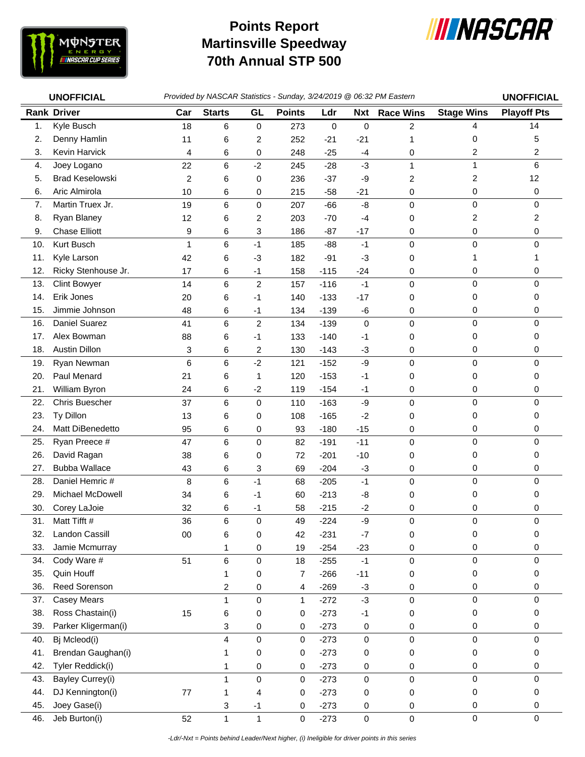

## **Martinsville Speedway 70th Annual STP 500 Points Report**



|     | <b>UNOFFICIAL</b>       | Provided by NASCAR Statistics - Sunday, 3/24/2019 @ 06:32 PM Eastern | <b>UNOFFICIAL</b> |                |               |             |             |                  |                   |                    |
|-----|-------------------------|----------------------------------------------------------------------|-------------------|----------------|---------------|-------------|-------------|------------------|-------------------|--------------------|
|     | <b>Rank Driver</b>      | Car                                                                  | <b>Starts</b>     | GL             | <b>Points</b> | Ldr         | Nxt         | <b>Race Wins</b> | <b>Stage Wins</b> | <b>Playoff Pts</b> |
| 1.  | Kyle Busch              | 18                                                                   | 6                 | 0              | 273           | $\mathbf 0$ | $\mathsf 0$ | $\overline{c}$   | 4                 | 14                 |
| 2.  | Denny Hamlin            | 11                                                                   | 6                 | $\overline{c}$ | 252           | $-21$       | $-21$       | 1                | 0                 | 5                  |
| 3.  | Kevin Harvick           | 4                                                                    | 6                 | 0              | 248           | $-25$       | $-4$        | 0                | 2                 | 2                  |
| 4.  | Joey Logano             | 22                                                                   | 6                 | $-2$           | 245           | $-28$       | $-3$        | $\mathbf{1}$     | 1                 | 6                  |
| 5.  | <b>Brad Keselowski</b>  | 2                                                                    | 6                 | 0              | 236           | $-37$       | -9          | 2                | 2                 | 12                 |
| 6.  | Aric Almirola           | 10                                                                   | 6                 | 0              | 215           | $-58$       | $-21$       | 0                | 0                 | 0                  |
| 7.  | Martin Truex Jr.        | 19                                                                   | 6                 | $\pmb{0}$      | 207           | $-66$       | -8          | $\mathsf 0$      | 0                 | $\mathbf 0$        |
| 8.  | Ryan Blaney             | 12                                                                   | 6                 | $\overline{c}$ | 203           | $-70$       | $-4$        | 0                | 2                 | $\overline{c}$     |
| 9.  | <b>Chase Elliott</b>    | 9                                                                    | 6                 | 3              | 186           | $-87$       | $-17$       | 0                | 0                 | 0                  |
| 10. | Kurt Busch              | 1                                                                    | 6                 | $-1$           | 185           | $-88$       | $-1$        | 0                | 0                 | $\Omega$           |
| 11. | Kyle Larson             | 42                                                                   | 6                 | -3             | 182           | $-91$       | -3          | 0                | 1                 |                    |
| 12. | Ricky Stenhouse Jr.     | 17                                                                   | 6                 | $-1$           | 158           | $-115$      | $-24$       | 0                | 0                 | 0                  |
| 13. | <b>Clint Bowyer</b>     | 14                                                                   | 6                 | $\overline{c}$ | 157           | $-116$      | $-1$        | 0                | 0                 | $\mathbf 0$        |
| 14. | Erik Jones              | 20                                                                   | 6                 | $-1$           | 140           | $-133$      | $-17$       | 0                | 0                 | 0                  |
| 15. | Jimmie Johnson          | 48                                                                   | 6                 | $-1$           | 134           | $-139$      | -6          | 0                | 0                 | 0                  |
| 16. | Daniel Suarez           | 41                                                                   | 6                 | $\overline{c}$ | 134           | $-139$      | 0           | 0                | 0                 | 0                  |
| 17. | Alex Bowman             | 88                                                                   | 6                 | $-1$           | 133           | $-140$      | -1          | 0                | 0                 | 0                  |
| 18. | <b>Austin Dillon</b>    | 3                                                                    | 6                 | $\overline{c}$ | 130           | $-143$      | $-3$        | 0                | 0                 | 0                  |
| 19. | Ryan Newman             | 6                                                                    | 6                 | $-2$           | 121           | $-152$      | $-9$        | $\mathsf 0$      | 0                 | $\mathbf 0$        |
| 20. | Paul Menard             | 21                                                                   | 6                 | 1              | 120           | $-153$      | $-1$        | 0                | 0                 | 0                  |
| 21. | William Byron           | 24                                                                   | 6                 | $-2$           | 119           | $-154$      | $-1$        | 0                | 0                 | 0                  |
| 22. | Chris Buescher          | 37                                                                   | 6                 | $\pmb{0}$      | 110           | $-163$      | $-9$        | 0                | 0                 | 0                  |
| 23. | Ty Dillon               | 13                                                                   | 6                 | 0              | 108           | $-165$      | $-2$        | 0                | 0                 | 0                  |
| 24. | Matt DiBenedetto        | 95                                                                   | 6                 | 0              | 93            | $-180$      | $-15$       | 0                | 0                 | 0                  |
| 25. | Ryan Preece #           | 47                                                                   | 6                 | $\mathbf 0$    | 82            | $-191$      | $-11$       | $\mathbf 0$      | 0                 | 0                  |
| 26. | David Ragan             | 38                                                                   | 6                 | 0              | 72            | $-201$      | $-10$       | 0                | 0                 | 0                  |
| 27. | <b>Bubba Wallace</b>    | 43                                                                   | 6                 | 3              | 69            | $-204$      | $-3$        | 0                | 0                 | 0                  |
| 28. | Daniel Hemric #         | 8                                                                    | 6                 | $-1$           | 68            | $-205$      | $-1$        | 0                | 0                 | $\mathbf 0$        |
| 29. | <b>Michael McDowell</b> | 34                                                                   | 6                 | $-1$           | 60            | $-213$      | -8          | 0                | 0                 | 0                  |
| 30. | Corey LaJoie            | 32                                                                   | 6                 | -1             | 58            | $-215$      | $-2$        | 0                | 0                 | 0                  |
| 31. | Matt Tifft #            | 36                                                                   | 6                 | 0              | 49            | $-224$      | -9          | 0                | 0                 | 0                  |
| 32. | Landon Cassill          | $00\,$                                                               | 6                 | 0              | 42            | $-231$      | $-7$        | 0                | 0                 | 0                  |
| 33. | Jamie Mcmurray          |                                                                      | 1                 | 0              | 19            | $-254$      | $-23$       | 0                | 0                 | 0                  |
| 34. | Cody Ware #             | 51                                                                   | 6                 | 0              | 18            | $-255$      | $-1$        | 0                | 0                 | 0                  |
| 35. | Quin Houff              |                                                                      | 1                 | 0              | 7             | $-266$      | $-11$       | 0                | 0                 | 0                  |
| 36. | Reed Sorenson           |                                                                      | 2                 | 0              | 4             | $-269$      | $-3$        | 0                | 0                 | 0                  |
| 37. | <b>Casey Mears</b>      |                                                                      | $\mathbf{1}$      | $\pmb{0}$      | 1             | $-272$      | $-3$        | 0                | 0                 | $\mathbf 0$        |
| 38. | Ross Chastain(i)        | 15                                                                   | 6                 | 0              | 0             | $-273$      | $-1$        | 0                | 0                 | 0                  |
| 39. | Parker Kligerman(i)     |                                                                      | 3                 | $\pmb{0}$      | 0             | $-273$      | 0           | 0                | 0                 | 0                  |
| 40. | Bj Mcleod(i)            |                                                                      | 4                 | 0              | 0             | $-273$      | 0           | 0                | 0                 | 0                  |
| 41. | Brendan Gaughan(i)      |                                                                      | 1                 | 0              | 0             | $-273$      | 0           | 0                | 0                 | 0                  |
| 42. | Tyler Reddick(i)        |                                                                      | 1                 | 0              | 0             | $-273$      | 0           | 0                | 0                 | 0                  |
| 43. | Bayley Currey(i)        |                                                                      | $\mathbf{1}$      | $\pmb{0}$      | 0             | $-273$      | 0           | 0                | $\pmb{0}$         | 0                  |
| 44. | DJ Kennington(i)        | $77 \,$                                                              | 1                 | 4              | 0             | $-273$      | 0           | 0                | 0                 | 0                  |
| 45. | Joey Gase(i)            |                                                                      | 3                 | $-1$           | 0             | $-273$      | 0           | 0                | $\pmb{0}$         | 0                  |
| 46. | Jeb Burton(i)           | 52                                                                   | $\mathbf{1}$      | $\mathbf 1$    | 0             | $-273$      | 0           | 0                | 0                 | $\mathbf 0$        |